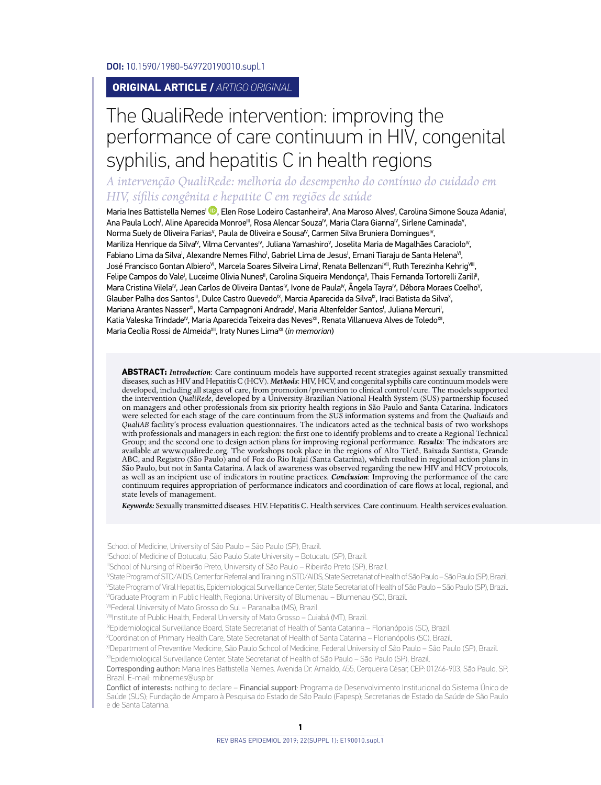DOI: 10.1590/1980-549720190010.supl.1

#### **ORIGINAL ARTICLE /** *ARTIGO ORIGINAL*

# The QualiRede intervention: improving the performance of care continuum in HIV, congenital syphilis, and hepatitis C in health regions

*A intervenção QualiRede: melhoria do desempenho do contínuo do cuidado em HIV, sífilis congênita e hepatite C em regiões de saúde*

Maria Ines Battistella Nemes<sup>I</sup> (D), Elen Rose Lodeiro Castanheira'', Ana Maroso Alves', Carolina Simone Souza Adania', Ana Paula Loch', Aline Aparecida Monroe''', Rosa Alencar Souza'<sup>v</sup>, Maria Clara Gianna<sup>iv</sup>, Sirlene Caminada<sup>v</sup>, Norma Suely de Oliveira Farias<sup>v</sup>, Paula de Oliveira e Sousa<sup>iv</sup>, Carmen Silva Bruniera Domingues<sup>iv</sup>, Mariliza Henrique da Silva<sup>iv</sup>, Vilma Cervantes<sup>iv</sup>, Juliana Yamashiro<sup>v</sup>, Joselita Maria de Magalhães Caraciolo<sup>iv</sup>, Fabiano Lima da Silva', Alexandre Nemes Filho', Gabriel Lima de Jesus', Ernani Tiaraju de Santa Helena<sup>vi</sup>, José Francisco Gontan Albiero<sup>vi</sup>, Marcela Soares Silveira Lima', Renata Bellenzani<sup>vii</sup>, Ruth Terezinha Kehrig<sup>yiii</sup>, Felipe Campos do Vale<sup>i</sup>, Luceime Olivia Nunes", Carolina Siqueira Mendonça", Thais Fernanda Tortorelli Zarili", Mara Cristina Vilela<sup>iv</sup>, Jean Carlos de Oliveira Dantas<sup>iv</sup>, Ivone de Paula<sup>iv</sup>, Ângela Tayra<sup>iv</sup>, Débora Moraes Coelho<sup>v</sup>, Glauber Palha dos Santos''', Dulce Castro Quevedo<sup>ıx</sup>, Marcia Aparecida da Silva<sup>ıx</sup>, Iraci Batista da Silva<sup>x</sup>, Mariana Arantes Nasser<sup>xi</sup>, Marta Campagnoni Andrade<sup>i</sup>, Maria Altenfelder Santos<sup>i</sup>, Juliana Mercuri<sup>i</sup>, Katia Valeska Trindade<sup>iv</sup>, Maria Aparecida Teixeira das NevesXII, Renata Villanueva Alves de ToledoXII, Maria Cecília Rossi de Almeida<sup>XII</sup>, Iraty Nunes Lima<sup>XII</sup> (*in memorian*)

**ABSTRACT:** *Introduction*: Care continuum models have supported recent strategies against sexually transmitted diseases, such as HIV and Hepatitis C (HCV). *Methods*: HIV, HCV, and congenital syphilis care continuum models were developed, including all stages of care, from promotion/prevention to clinical control/cure. The models supported the intervention *QualiRede*, developed by a University-Brazilian National Health System (SUS) partnership focused<br>on managers and other professionals from six priority health regions in São Paulo and Santa Catarina. Indic were selected for each stage of the care continuum from the SUS information systems and from the *Qualiaids* and *QualiAB facility*'s process evaluation questionnaires. The indicators acted as the technical basis of two workshops<br>with professionals and managers in each region: the first one to identify problems and to create a Region Group; and the second one to design action plans for improving regional performance. *Results*: The indicators are available *at* www.qualirede.org. The workshops took place in the regions of Alto Tietê, Baixada Santista, Grande<br>ABC, and Registro (São Paulo) and of Foz do Rio Itajaí (Santa Catarina), which resulted in regional action p São Paulo, but not in Santa Catarina. A lack of awareness was observed regarding the new HIV and HCV protocols, as well as an incipient use of indicators in routine practices. *Conclusion*: Improving the performance of the care continuum requires appropriation of performance indicators and coordination of care flows at local, regional, and state levels of management.

*Keywords:* Sexually transmitted diseases. HIV. Hepatitis C. Health services. Care continuum. Health services evaluation.

I School of Medicine, University of São Paulo – São Paulo (SP), Brazil.

IISchool of Medicine of Botucatu, São Paulo State University – Botucatu (SP), Brazil.

IIISchool of Nursing of Ribeirão Preto, University of São Paulo – Ribeirão Preto (SP), Brazil.

IVState Program of STD/AIDS, Center for Referral and Training in STD/AIDS, State Secretariat of Health of São Paulo – São Paulo (SP), Brazil. V State Program of Viral Hepatitis, Epidemiological Surveillance Center, State Secretariat of Health of São Paulo – São Paulo (SP), Brazil. VIGraduate Program in Public Health, Regional University of Blumenau – Blumenau (SC), Brazil.

VIIFederal University of Mato Grosso do Sul - Paranaíba (MS), Brazil.

IXEpidemiological Surveillance Board, State Secretariat of Health of Santa Catarina – Florianópolis (SC), Brazil.

X Coordination of Primary Health Care, State Secretariat of Health of Santa Catarina – Florianópolis (SC), Brazil.

XIDepartment of Preventive Medicine, São Paulo School of Medicine, Federal University of São Paulo – São Paulo (SP), Brazil. XIIEpidemiological Surveillance Center, State Secretariat of Health of São Paulo – São Paulo (SP), Brazil.

Corresponding author: Maria Ines Battistella Nemes. Avenida Dr. Arnaldo, 455, Cerqueira César, CEP: 01246-903, São Paulo, SP, Brazil. E-mail: mibnemes@usp.br

Conflict of interests: nothing to declare – Financial support: Programa de Desenvolvimento Institucional do Sistema Único de Saúde (SUS); Fundação de Amparo à Pesquisa do Estado de São Paulo (Fapesp); Secretarias de Estado da Saúde de São Paulo e de Santa Catarina.

VIIIInstitute of Public Health, Federal University of Mato Grosso - Cuiabá (MT), Brazil.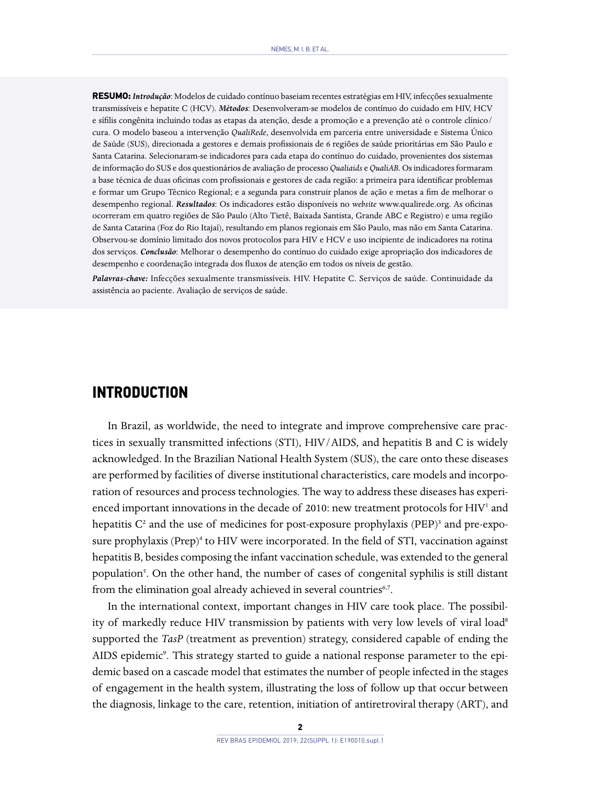**RESUMO:** *Introdução*: Modelos de cuidado contínuo baseiam recentes estratégias em HIV, infecções sexualmente transmissíveis e hepatite C (HCV). *Métodos*: Desenvolveram-se modelos de contínuo do cuidado em HIV, HCV e sífilis congênita incluindo todas as etapas da atenção, desde a promoção e a prevenção até o controle clínico/ cura. O modelo baseou a intervenção *QualiRede*, desenvolvida em parceria entre universidade e Sistema Único de Saúde (SUS), direcionada a gestores e demais profissionais de 6 regiões de saúde prioritárias em São Paulo e Santa Catarina. Selecionaram-se indicadores para cada etapa do contínuo do cuidado, provenientes dos sistemas de informação do SUS e dos questionários de avaliação de processo *Qualiaids* e *QualiAB.* Os indicadoresformaram a base técnica de duas oficinas com profissionais e gestores de cada região: a primeira para identificar problemas e formar um Grupo Técnico Regional; e a segunda para construir planos de ação e metas a fim de melhorar o desempenho regional. *Resultados*: Os indicadores estão disponíveis no *website* www.qualirede.org. As oficinas ocorreram em quatro regiões de São Paulo (Alto Tietê, Baixada Santista, Grande ABC e Registro) e uma região de Santa Catarina (Foz do Rio Itajaí), resultando em planos regionais em São Paulo, mas não em Santa Catarina. Observou-se domínio limitado dos novos protocolos para HIV e HCV e uso incipiente de indicadores na rotina dos serviços. *Conclusão*: Melhorar o desempenho do contínuo do cuidado exige apropriação dos indicadores de desempenho e coordenação integrada dos fluxos de atenção em todos os níveis de gestão.

*Palavras-chave:* Infecções sexualmente transmissíveis. HIV. Hepatite C. Serviços de saúde. Continuidade da assistência ao paciente. Avaliação de serviços de saúde.

## **INTRODUCTION**

In Brazil, as worldwide, the need to integrate and improve comprehensive care practices in sexually transmitted infections (STI), HIV/AIDS, and hepatitis B and C is widely acknowledged. In the Brazilian National Health System (SUS), the care onto these diseases are performed by facilities of diverse institutional characteristics, care models and incorporation of resources and process technologies. The way to address these diseases has experienced important innovations in the decade of 2010: new treatment protocols for HIV<sup>1</sup> and hepatitis C<sup>2</sup> and the use of medicines for post-exposure prophylaxis (PEP)<sup>3</sup> and pre-exposure prophylaxis (Prep)<sup>4</sup> to HIV were incorporated. In the field of STI, vaccination against hepatitis B, besides composing the infant vaccination schedule, was extended to the general population<sup>5</sup>. On the other hand, the number of cases of congenital syphilis is still distant from the elimination goal already achieved in several countries<sup>6,7</sup>.

In the international context, important changes in HIV care took place. The possibility of markedly reduce HIV transmission by patients with very low levels of viral load<sup>8</sup> supported the *TasP* (treatment as prevention) strategy, considered capable of ending the AIDS epidemic<sup>9</sup>. This strategy started to guide a national response parameter to the epidemic based on a cascade model that estimates the number of people infected in the stages of engagement in the health system, illustrating the loss of follow up that occur between the diagnosis, linkage to the care, retention, initiation of antiretroviral therapy (ART), and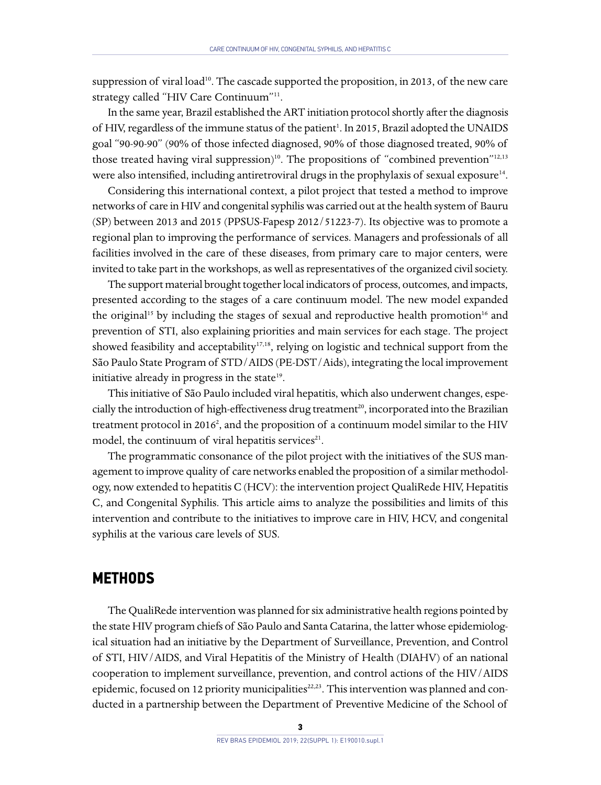suppression of viral load<sup>10</sup>. The cascade supported the proposition, in 2013, of the new care strategy called "HIV Care Continuum"11.

In the same year, Brazil established the ART initiation protocol shortly after the diagnosis of HIV, regardless of the immune status of the patient<sup>1</sup>. In 2015, Brazil adopted the UNAIDS goal "90-90-90" (90% of those infected diagnosed, 90% of those diagnosed treated, 90% of those treated having viral suppression)<sup>10</sup>. The propositions of "combined prevention"<sup>12,13</sup> were also intensified, including antiretroviral drugs in the prophylaxis of sexual exposure<sup>14</sup>.

Considering this international context, a pilot project that tested a method to improve networks of care in HIV and congenital syphilis was carried out at the health system of Bauru (SP) between 2013 and 2015 (PPSUS-Fapesp 2012/51223-7). Its objective was to promote a regional plan to improving the performance of services. Managers and professionals of all facilities involved in the care of these diseases, from primary care to major centers, were invited to take part in the workshops, as well as representatives of the organized civil society.

The support material brought together local indicators of process, outcomes, and impacts, presented according to the stages of a care continuum model. The new model expanded the original<sup>15</sup> by including the stages of sexual and reproductive health promotion<sup>16</sup> and prevention of STI, also explaining priorities and main services for each stage. The project showed feasibility and acceptability<sup>17,18</sup>, relying on logistic and technical support from the São Paulo State Program of STD/AIDS (PE-DST/Aids), integrating the local improvement initiative already in progress in the state<sup>19</sup>.

This initiative of São Paulo included viral hepatitis, which also underwent changes, especially the introduction of high-effectiveness drug treatment<sup>20</sup>, incorporated into the Brazilian treatment protocol in 2016<sup>2</sup>, and the proposition of a continuum model similar to the HIV model, the continuum of viral hepatitis services<sup>21</sup>.

The programmatic consonance of the pilot project with the initiatives of the SUS management to improve quality of care networks enabled the proposition of a similar methodology, now extended to hepatitis C (HCV): the intervention project QualiRede HIV, Hepatitis C, and Congenital Syphilis. This article aims to analyze the possibilities and limits of this intervention and contribute to the initiatives to improve care in HIV, HCV, and congenital syphilis at the various care levels of SUS.

### **METHODS**

The QualiRede intervention was planned for six administrative health regions pointed by the state HIV program chiefs of São Paulo and Santa Catarina, the latter whose epidemiological situation had an initiative by the Department of Surveillance, Prevention, and Control of STI, HIV/AIDS, and Viral Hepatitis of the Ministry of Health (DIAHV) of an national cooperation to implement surveillance, prevention, and control actions of the HIV/AIDS epidemic, focused on 12 priority municipalities<sup>22,23</sup>. This intervention was planned and conducted in a partnership between the Department of Preventive Medicine of the School of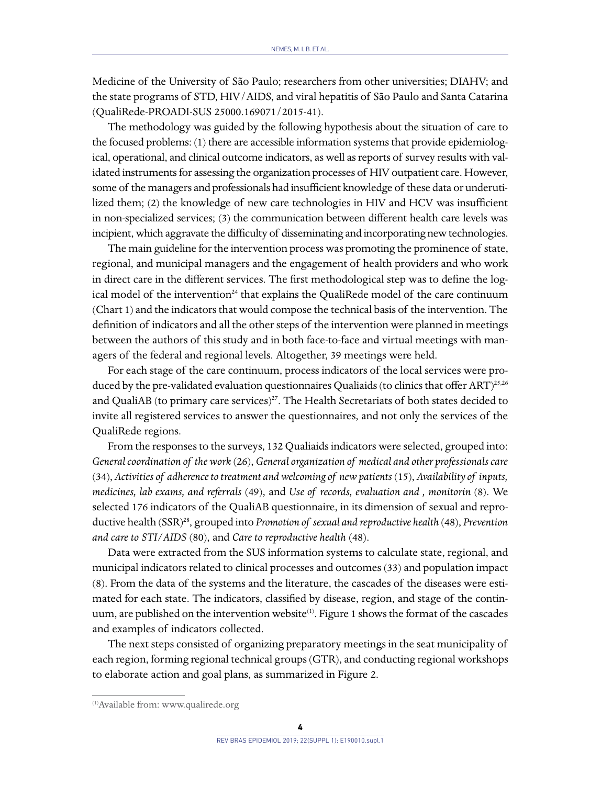Medicine of the University of São Paulo; researchers from other universities; DIAHV; and the state programs of STD, HIV/AIDS, and viral hepatitis of São Paulo and Santa Catarina (QualiRede-PROADI-SUS 25000.169071/2015-41).

The methodology was guided by the following hypothesis about the situation of care to the focused problems: (1) there are accessible information systems that provide epidemiological, operational, and clinical outcome indicators, as well as reports of survey results with validated instruments for assessing the organization processes of HIV outpatient care. However, some of the managers and professionals had insufficient knowledge of these data or underutilized them; (2) the knowledge of new care technologies in HIV and HCV was insufficient in non-specialized services; (3) the communication between different health care levels was incipient, which aggravate the difficulty of disseminating and incorporating new technologies.

The main guideline for the intervention process was promoting the prominence of state, regional, and municipal managers and the engagement of health providers and who work in direct care in the different services. The first methodological step was to define the logical model of the intervention<sup>24</sup> that explains the QualiRede model of the care continuum (Chart 1) and the indicators that would compose the technical basis of the intervention. The definition of indicators and all the other steps of the intervention were planned in meetings between the authors of this study and in both face-to-face and virtual meetings with managers of the federal and regional levels. Altogether, 39 meetings were held.

For each stage of the care continuum, process indicators of the local services were produced by the pre-validated evaluation questionnaires Qualiaids (to clinics that offer ART)<sup>25,26</sup> and QualiAB (to primary care services)<sup>27</sup>. The Health Secretariats of both states decided to invite all registered services to answer the questionnaires, and not only the services of the QualiRede regions.

From the responses to the surveys, 132 Qualiaids indicators were selected, grouped into: *General coordination of the work* (26), *General organization of medical and other professionals care*  (34), *Activities of adherence to treatment and welcoming of new patients* (15), *Availability of inputs, medicines, lab exams, and referrals* (49), and *Use of records, evaluation and , monitorin* (8). We selected 176 indicators of the QualiAB questionnaire, in its dimension of sexual and reproductive health (SSR)28, grouped into *Promotion of sexual and reproductive health* (48), *Prevention and care to STI/AIDS* (80), and *Care to reproductive health* (48).

Data were extracted from the SUS information systems to calculate state, regional, and municipal indicators related to clinical processes and outcomes (33) and population impact (8). From the data of the systems and the literature, the cascades of the diseases were estimated for each state. The indicators, classified by disease, region, and stage of the continuum, are published on the intervention website<sup>(1)</sup>. Figure 1 shows the format of the cascades and examples of indicators collected.

The next steps consisted of organizing preparatory meetings in the seat municipality of each region, forming regional technical groups (GTR), and conducting regional workshops to elaborate action and goal plans, as summarized in Figure 2.

<sup>(1)</sup>Available from: www.qualirede.org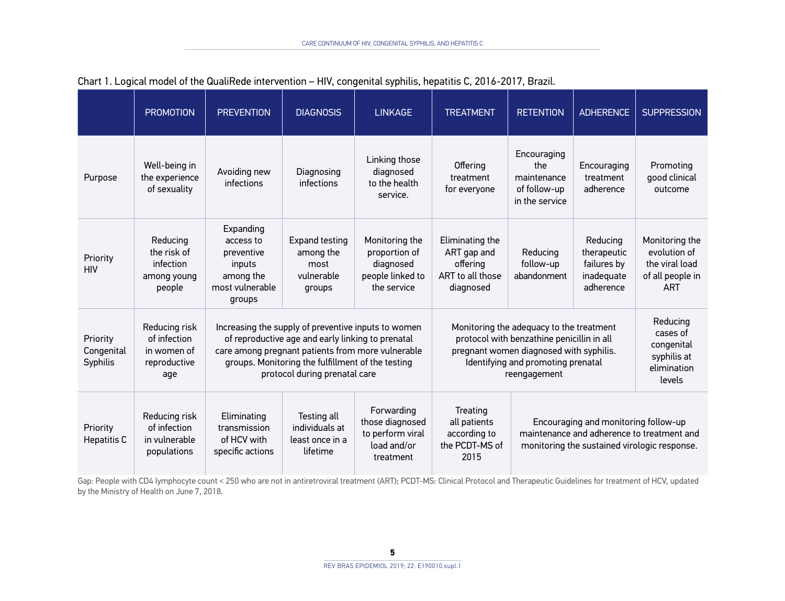|                                    | <b>PROMOTION</b>                                                    | <b>PREVENTION</b>                                                                                                                                                                                                                                   | <b>DIAGNOSIS</b>                                                   | <b>LINKAGE</b>                                                                  | <b>TREATMENT</b>                                                                                                                                                                                         | <b>RETENTION</b>                                                           | <b>ADHERENCE</b>                                                  | <b>SUPPRESSION</b>                                                                 |
|------------------------------------|---------------------------------------------------------------------|-----------------------------------------------------------------------------------------------------------------------------------------------------------------------------------------------------------------------------------------------------|--------------------------------------------------------------------|---------------------------------------------------------------------------------|----------------------------------------------------------------------------------------------------------------------------------------------------------------------------------------------------------|----------------------------------------------------------------------------|-------------------------------------------------------------------|------------------------------------------------------------------------------------|
| Purpose                            | Well-being in<br>the experience<br>of sexuality                     | Avoiding new<br>infections                                                                                                                                                                                                                          | Diagnosing<br>infections                                           | Linking those<br>diagnosed<br>to the health<br>service.                         | Encouraging<br><b>Offering</b><br>the<br>maintenance<br>treatment<br>of follow-up<br>for everyone<br>in the service                                                                                      |                                                                            | Encouraging<br>treatment<br>adherence                             | Promoting<br>good clinical<br>outcome                                              |
| Priority<br><b>HIV</b>             | Reducing<br>the risk of<br>infection<br>among young<br>people       | Expanding<br>access to<br>preventive<br>inputs<br>among the<br>most vulnerable<br>groups                                                                                                                                                            | <b>Expand testing</b><br>among the<br>most<br>vulnerable<br>groups | Monitoring the<br>proportion of<br>diagnosed<br>people linked to<br>the service | Eliminating the<br>ART gap and<br>offering<br>ART to all those<br>diagnosed                                                                                                                              |                                                                            | Reducing<br>therapeutic<br>failures by<br>inadequate<br>adherence | Monitoring the<br>evolution of<br>the viral load<br>of all people in<br><b>ART</b> |
| Priority<br>Congenital<br>Syphilis | Reducing risk<br>of infection<br>in women of<br>reproductive<br>age | Increasing the supply of preventive inputs to women<br>of reproductive age and early linking to prenatal<br>care among pregnant patients from more vulnerable<br>groups. Monitoring the fulfillment of the testing<br>protocol during prenatal care |                                                                    |                                                                                 | Monitoring the adequacy to the treatment<br>protocol with benzathine penicillin in all<br>pregnant women diagnosed with syphilis.<br>Identifying and promoting prenatal<br>reengagement                  | Reducing<br>cases of<br>congenital<br>syphilis at<br>elimination<br>levels |                                                                   |                                                                                    |
| Priority<br><b>Hepatitis C</b>     | Reducing risk<br>of infection<br>in vulnerable<br>populations       | Eliminating<br>transmission<br>of HCV with<br>specific actions                                                                                                                                                                                      | Testing all<br>individuals at<br>least once in a<br>lifetime       | Forwarding<br>those diagnosed<br>to perform viral<br>load and/or<br>treatment   | Treating<br>Encouraging and monitoring follow-up<br>all patients<br>maintenance and adherence to treatment and<br>according to<br>the PCDT-MS of<br>monitoring the sustained virologic response.<br>2015 |                                                                            |                                                                   |                                                                                    |

### Chart 1. Logical model of the QualiRede intervention – HIV, congenital syphilis, hepatitis C, 2016-2017, Brazil.

Gap: People with CD4 lymphocyte count < 250 who are not in antiretroviral treatment (ART); PCDT-MS: Clinical Protocol and Therapeutic Guidelines for treatment of HCV, updated by the Ministry of Health on June 7, 2018.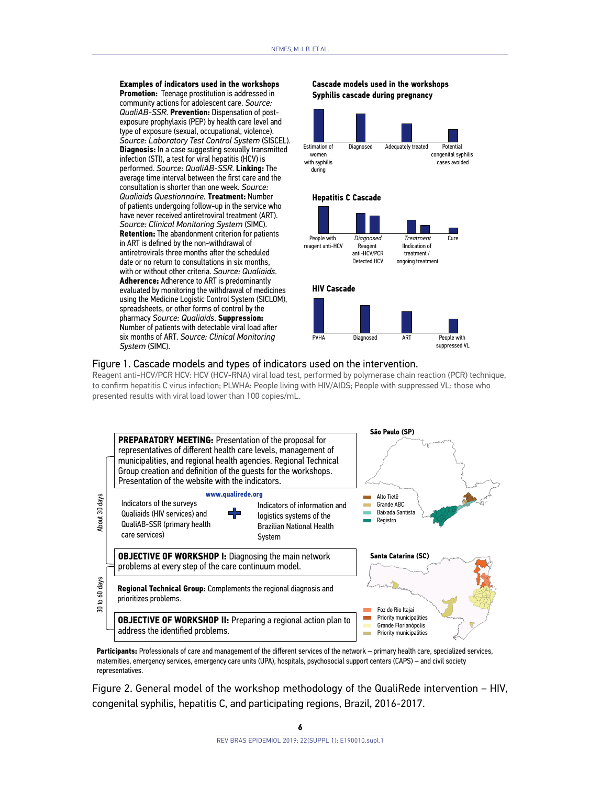**Examples of indicators used in the workshops Promotion:** Teenage prostitution is addressed in community actions for adolescent care. *Source: QualiAB-SSR*. **Prevention:** Dispensation of postexposure prophylaxis (PEP) by health care level and type of exposure (sexual, occupational, violence). *Source: Laboratory Test Control System* (SISCEL). **Diagnosis:** In a case suggesting sexually transmitted infection (STI), a test for viral hepatitis (HCV) is performed. *Source: QualiAB-SSR*. **Linking:** The average time interval between the first care and the consultation is shorter than one week. *Source: Qualiaids Questionnaire.* **Treatment:** Number of patients undergoing follow-up in the service who have never received antiretroviral treatment (ART). *Source: Clinical Monitoring System* (SIMC). **Retention:** The abandonment criterion for patients in ART is defined by the non-withdrawal of antiretrovirals three months after the scheduled date or no return to consultations in six months. with or without other criteria. *Source: Qualiaids*. **Adherence:** Adherence to ART is predominantly evaluated by monitoring the withdrawal of medicines using the Medicine Logistic Control System (SICLOM), spreadsheets, or other forms of control by the pharmacy *Source: Qualiaids*. **Suppression:** Number of patients with detectable viral load after six months of ART. *Source: Clinical Monitoring System* (SIMC).

#### **Cascade models used in the workshops Syphilis cascade during pregnancy**



#### Figure 1. Cascade models and types of indicators used on the intervention.

Reagent anti-HCV/PCR HCV: HCV (HCV-RNA) viral load test, performed by polymerase chain reaction (PCR) technique, to confirm hepatitis C virus infection; PLWHA: People living with HIV/AIDS; People with suppressed VL: those who presented results with viral load lower than 100 copies/mL.



**Participants:** Professionals of care and management of the different services of the network – primary health care, specialized services, maternities, emergency services, emergency care units (UPA), hospitals, psychosocial support centers (CAPS) – and civil society representatives.

Figure 2. General model of the workshop methodology of the QualiRede intervention – HIV, congenital syphilis, hepatitis C, and participating regions, Brazil, 2016-2017.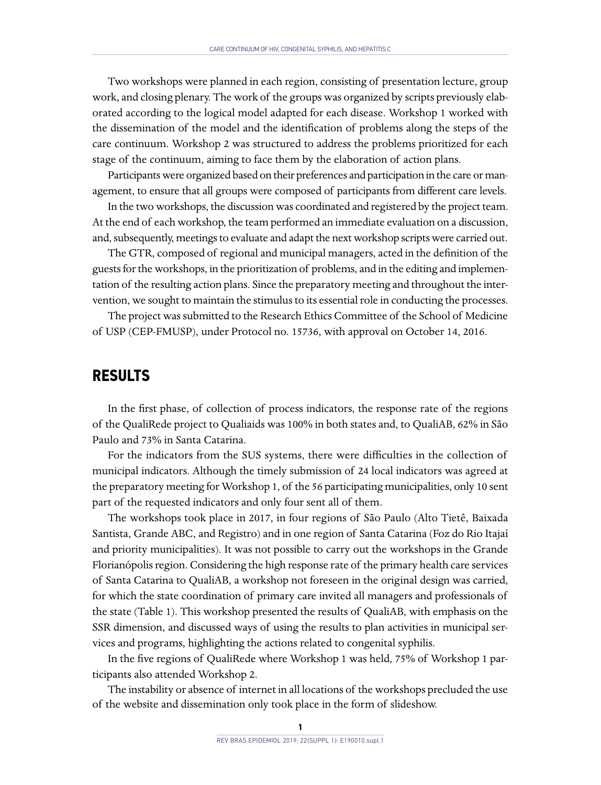Two workshops were planned in each region, consisting of presentation lecture, group work, and closing plenary. The work of the groups was organized by scripts previously elaborated according to the logical model adapted for each disease. Workshop 1 worked with the dissemination of the model and the identification of problems along the steps of the care continuum. Workshop 2 was structured to address the problems prioritized for each stage of the continuum, aiming to face them by the elaboration of action plans.

Participants were organized based on their preferences and participation in the care or management, to ensure that all groups were composed of participants from different care levels.

In the two workshops, the discussion was coordinated and registered by the project team. At the end of each workshop, the team performed an immediate evaluation on a discussion, and, subsequently, meetings to evaluate and adapt the next workshop scripts were carried out.

The GTR, composed of regional and municipal managers, acted in the definition of the guests for the workshops, in the prioritization of problems, and in the editing and implementation of the resulting action plans. Since the preparatory meeting and throughout the intervention, we sought to maintain the stimulus to its essential role in conducting the processes.

The project was submitted to the Research Ethics Committee of the School of Medicine of USP (CEP-FMUSP), under Protocol no. 15736, with approval on October 14, 2016.

## **RESULTS**

In the first phase, of collection of process indicators, the response rate of the regions of the QualiRede project to Qualiaids was 100% in both states and, to QualiAB, 62% in São Paulo and 73% in Santa Catarina.

For the indicators from the SUS systems, there were difficulties in the collection of municipal indicators. Although the timely submission of 24 local indicators was agreed at the preparatory meeting for Workshop 1, of the 56 participating municipalities, only 10 sent part of the requested indicators and only four sent all of them.

The workshops took place in 2017, in four regions of São Paulo (Alto Tietê, Baixada Santista, Grande ABC, and Registro) and in one region of Santa Catarina (Foz do Rio Itajaí and priority municipalities). It was not possible to carry out the workshops in the Grande Florianópolis region. Considering the high response rate of the primary health care services of Santa Catarina to QualiAB, a workshop not foreseen in the original design was carried, for which the state coordination of primary care invited all managers and professionals of the state (Table 1). This workshop presented the results of QualiAB, with emphasis on the SSR dimension, and discussed ways of using the results to plan activities in municipal services and programs, highlighting the actions related to congenital syphilis.

In the five regions of QualiRede where Workshop 1 was held, 75% of Workshop 1 participants also attended Workshop 2.

The instability or absence of internet in all locations of the workshops precluded the use of the website and dissemination only took place in the form of slideshow.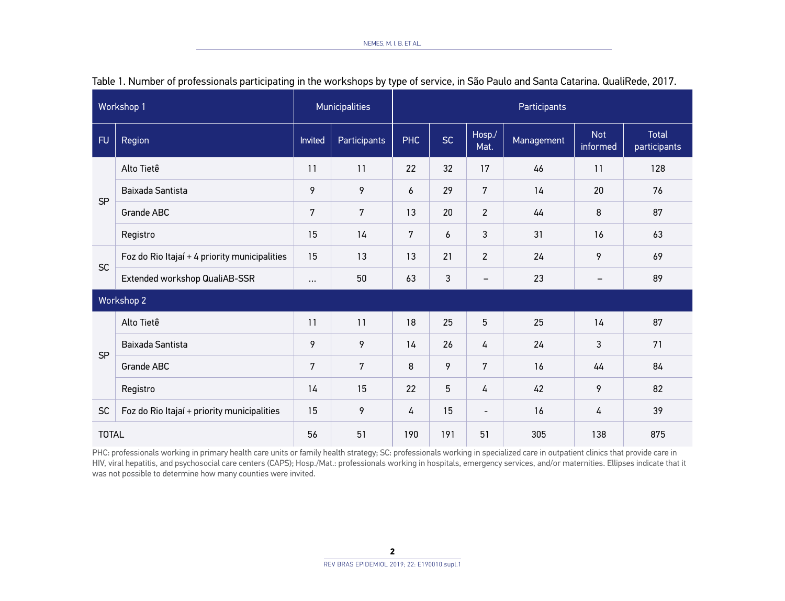| Workshop 1   |                                               | <b>Municipalities</b> |              | Participants |     |                          |            |                        |                              |
|--------------|-----------------------------------------------|-----------------------|--------------|--------------|-----|--------------------------|------------|------------------------|------------------------------|
| <b>FU</b>    | Region                                        |                       | Participants | <b>PHC</b>   | SC  | Hosp./<br>Mat.           | Management | <b>Not</b><br>informed | <b>Total</b><br>participants |
|              | Alto Tietê                                    | 11                    | 11           | 22           | 32  | 17                       | 46         | 11                     | 128                          |
| <b>SP</b>    | Baixada Santista                              | 9                     | 9            | 6            | 29  | 7                        | 14         | 20                     | 76                           |
|              | Grande ABC                                    | 7                     | 7            | 13           | 20  | $\overline{c}$           | 44         | 8                      | 87                           |
|              | Registro                                      | 15                    | 14           | 7            | 6   | 3                        | 31         | 16                     | 63                           |
| <b>SC</b>    | Foz do Rio Itajaí + 4 priority municipalities | 15                    | 13           | 13           | 21  | $\overline{2}$           | 24         | 9                      | 69                           |
|              | Extended workshop QualiAB-SSR                 | $\cdots$              | 50           | 63           | 3   | $\qquad \qquad -$        | 23         | $\qquad \qquad -$      | 89                           |
|              | Workshop 2                                    |                       |              |              |     |                          |            |                        |                              |
| <b>SP</b>    | Alto Tietê                                    | 11                    | 11           | 18           | 25  | 5                        | 25         | 14                     | 87                           |
|              | Baixada Santista                              | 9                     | 9            | 14           | 26  | 4                        | 24         | 3                      | 71                           |
|              | Grande ABC                                    | 7                     | 7            | 8            | 9   | 7                        | 16         | 44                     | 84                           |
|              | Registro                                      | 14                    | 15           | 22           | 5   | 4                        | 42         | 9                      | 82                           |
| <b>SC</b>    | Foz do Rio Itajaí + priority municipalities   | 15                    | 9            | 4            | 15  | $\overline{\phantom{a}}$ | 16         | 4                      | 39                           |
| <b>TOTAL</b> |                                               | 56                    | 51           | 190          | 191 | 51                       | 305        | 138                    | 875                          |

|  |  |  |  |  | Table 1. Number of professionals participating in the workshops by type of service, in São Paulo and Santa Catarina. QualiRede, 2017. |  |
|--|--|--|--|--|---------------------------------------------------------------------------------------------------------------------------------------|--|
|--|--|--|--|--|---------------------------------------------------------------------------------------------------------------------------------------|--|

PHC: professionals working in primary health care units or family health strategy; SC: professionals working in specialized care in outpatient clinics that provide care in HIV, viral hepatitis, and psychosocial care centers (CAPS); Hosp./Mat.: professionals working in hospitals, emergency services, and/or maternities. Ellipses indicate that it was not possible to determine how many counties were invited.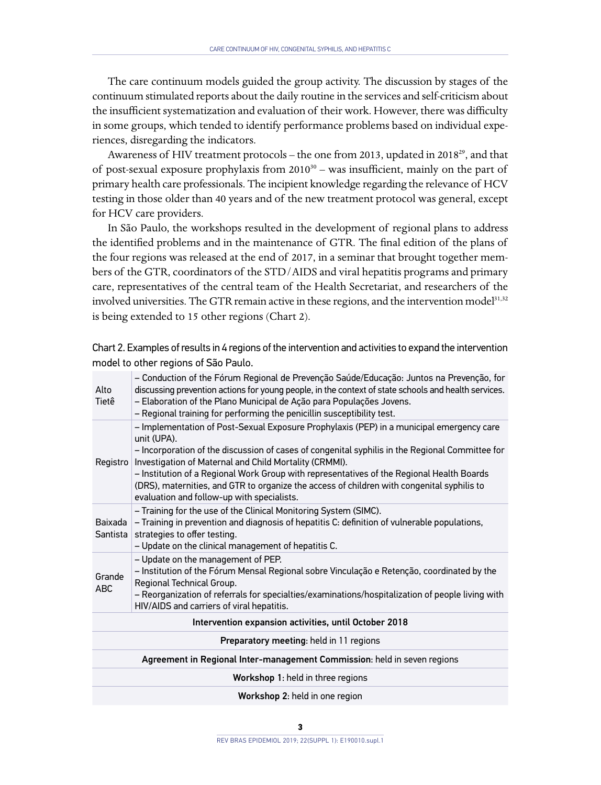The care continuum models guided the group activity. The discussion by stages of the continuum stimulated reports about the daily routine in the services and self-criticism about the insufficient systematization and evaluation of their work. However, there was difficulty in some groups, which tended to identify performance problems based on individual experiences, disregarding the indicators.

Awareness of HIV treatment protocols - the one from 2013, updated in 2018<sup>29</sup>, and that of post-sexual exposure prophylaxis from  $2010^{30}$  – was insufficient, mainly on the part of primary health care professionals. The incipient knowledge regarding the relevance of HCV testing in those older than 40 years and of the new treatment protocol was general, except for HCV care providers.

In São Paulo, the workshops resulted in the development of regional plans to address the identified problems and in the maintenance of GTR. The final edition of the plans of the four regions was released at the end of 2017, in a seminar that brought together members of the GTR, coordinators of the STD/AIDS and viral hepatitis programs and primary care, representatives of the central team of the Health Secretariat, and researchers of the involved universities. The GTR remain active in these regions, and the intervention model<sup>31,32</sup> is being extended to 15 other regions (Chart 2).

| Alto<br>Tietê                                                            | - Conduction of the Fórum Regional de Prevenção Saúde/Educação: Juntos na Prevenção, for<br>discussing prevention actions for young people, in the context of state schools and health services.<br>- Elaboration of the Plano Municipal de Ação para Populações Jovens.<br>- Regional training for performing the penicillin susceptibility test.                                                                                                                                                            |  |  |  |  |
|--------------------------------------------------------------------------|---------------------------------------------------------------------------------------------------------------------------------------------------------------------------------------------------------------------------------------------------------------------------------------------------------------------------------------------------------------------------------------------------------------------------------------------------------------------------------------------------------------|--|--|--|--|
| Registro                                                                 | - Implementation of Post-Sexual Exposure Prophylaxis (PEP) in a municipal emergency care<br>unit (UPA).<br>- Incorporation of the discussion of cases of congenital syphilis in the Regional Committee for<br>Investigation of Maternal and Child Mortality (CRMMI).<br>- Institution of a Regional Work Group with representatives of the Regional Health Boards<br>(DRS), maternities, and GTR to organize the access of children with congenital syphilis to<br>evaluation and follow-up with specialists. |  |  |  |  |
| Baixada<br>Santista                                                      | - Training for the use of the Clinical Monitoring System (SIMC).<br>- Training in prevention and diagnosis of hepatitis C: definition of vulnerable populations,<br>strategies to offer testing.<br>- Update on the clinical management of hepatitis C.                                                                                                                                                                                                                                                       |  |  |  |  |
| Grande<br><b>ABC</b>                                                     | - Update on the management of PEP.<br>- Institution of the Fórum Mensal Regional sobre Vinculação e Retenção, coordinated by the<br>Regional Technical Group.<br>- Reorganization of referrals for specialties/examinations/hospitalization of people living with<br>HIV/AIDS and carriers of viral hepatitis.                                                                                                                                                                                                |  |  |  |  |
| Intervention expansion activities, until October 2018                    |                                                                                                                                                                                                                                                                                                                                                                                                                                                                                                               |  |  |  |  |
| <b>Preparatory meeting: held in 11 regions</b>                           |                                                                                                                                                                                                                                                                                                                                                                                                                                                                                                               |  |  |  |  |
| Agreement in Regional Inter-management Commission: held in seven regions |                                                                                                                                                                                                                                                                                                                                                                                                                                                                                                               |  |  |  |  |
| Workshop 1: held in three regions                                        |                                                                                                                                                                                                                                                                                                                                                                                                                                                                                                               |  |  |  |  |
|                                                                          | Workshop 2: held in one region                                                                                                                                                                                                                                                                                                                                                                                                                                                                                |  |  |  |  |

Chart 2. Examples of results in 4 regions of the intervention and activities to expand the intervention model to other regions of São Paulo.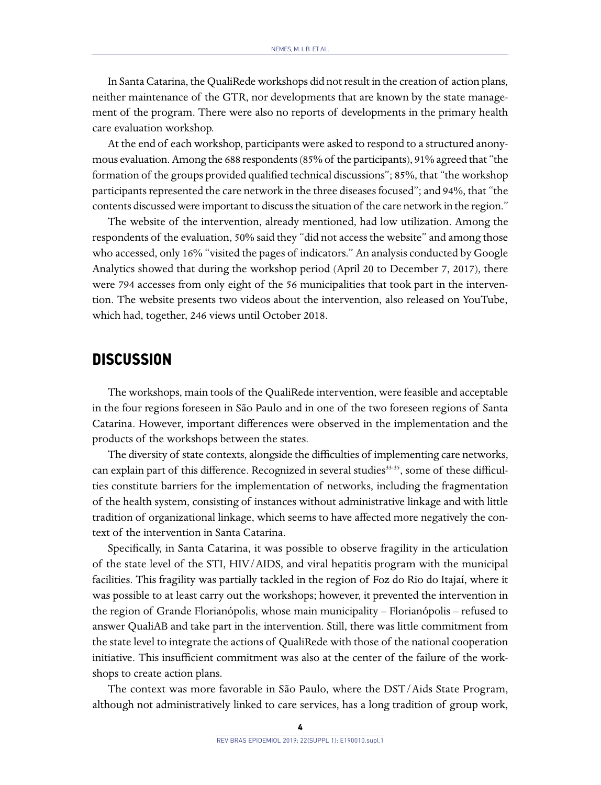In Santa Catarina, the QualiRede workshops did not result in the creation of action plans, neither maintenance of the GTR, nor developments that are known by the state management of the program. There were also no reports of developments in the primary health care evaluation workshop.

At the end of each workshop, participants were asked to respond to a structured anonymous evaluation. Among the 688 respondents (85% of the participants), 91% agreed that "the formation of the groups provided qualified technical discussions"; 85%, that "the workshop participants represented the care network in the three diseases focused"; and 94%, that "the contents discussed were important to discuss the situation of the care network in the region."

The website of the intervention, already mentioned, had low utilization. Among the respondents of the evaluation, 50% said they "did not access the website" and among those who accessed, only 16% "visited the pages of indicators." An analysis conducted by Google Analytics showed that during the workshop period (April 20 to December 7, 2017), there were 794 accesses from only eight of the 56 municipalities that took part in the intervention. The website presents two videos about the intervention, also released on YouTube, which had, together, 246 views until October 2018.

### **DISCUSSION**

The workshops, main tools of the QualiRede intervention, were feasible and acceptable in the four regions foreseen in São Paulo and in one of the two foreseen regions of Santa Catarina. However, important differences were observed in the implementation and the products of the workshops between the states.

The diversity of state contexts, alongside the difficulties of implementing care networks, can explain part of this difference. Recognized in several studies<sup>33-35</sup>, some of these difficulties constitute barriers for the implementation of networks, including the fragmentation of the health system, consisting of instances without administrative linkage and with little tradition of organizational linkage, which seems to have affected more negatively the context of the intervention in Santa Catarina.

Specifically, in Santa Catarina, it was possible to observe fragility in the articulation of the state level of the STI, HIV/AIDS, and viral hepatitis program with the municipal facilities. This fragility was partially tackled in the region of Foz do Rio do Itajaí, where it was possible to at least carry out the workshops; however, it prevented the intervention in the region of Grande Florianópolis, whose main municipality – Florianópolis – refused to answer QualiAB and take part in the intervention. Still, there was little commitment from the state level to integrate the actions of QualiRede with those of the national cooperation initiative. This insufficient commitment was also at the center of the failure of the workshops to create action plans.

The context was more favorable in São Paulo, where the DST/Aids State Program, although not administratively linked to care services, has a long tradition of group work,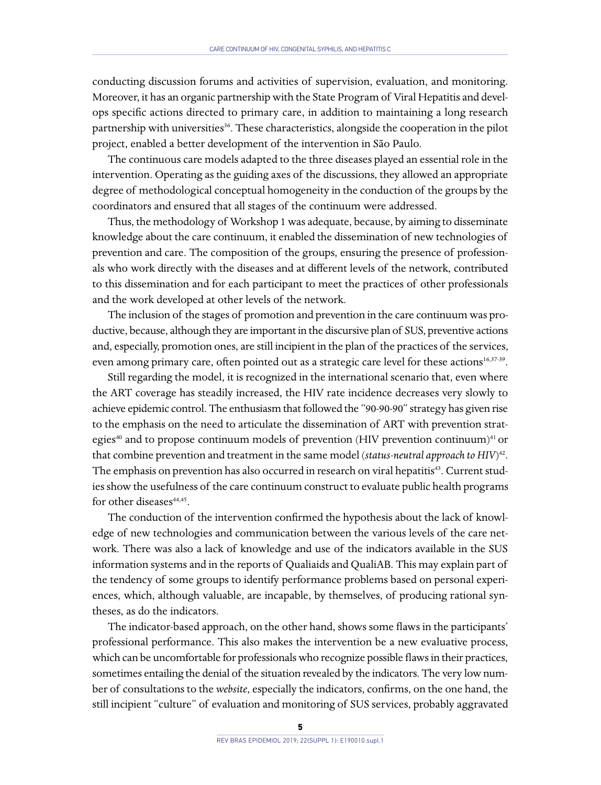conducting discussion forums and activities of supervision, evaluation, and monitoring. Moreover, it has an organic partnership with the State Program of Viral Hepatitis and develops specific actions directed to primary care, in addition to maintaining a long research partnership with universities<sup>36</sup>. These characteristics, alongside the cooperation in the pilot project, enabled a better development of the intervention in São Paulo.

The continuous care models adapted to the three diseases played an essential role in the intervention. Operating as the guiding axes of the discussions, they allowed an appropriate degree of methodological conceptual homogeneity in the conduction of the groups by the coordinators and ensured that all stages of the continuum were addressed.

Thus, the methodology of Workshop 1 was adequate, because, by aiming to disseminate knowledge about the care continuum, it enabled the dissemination of new technologies of prevention and care. The composition of the groups, ensuring the presence of professionals who work directly with the diseases and at different levels of the network, contributed to this dissemination and for each participant to meet the practices of other professionals and the work developed at other levels of the network.

The inclusion of the stages of promotion and prevention in the care continuum was productive, because, although they are important in the discursive plan of SUS, preventive actions and, especially, promotion ones, are still incipient in the plan of the practices of the services, even among primary care, often pointed out as a strategic care level for these actions<sup>16,37-39</sup>.

Still regarding the model, it is recognized in the international scenario that, even where the ART coverage has steadily increased, the HIV rate incidence decreases very slowly to achieve epidemic control. The enthusiasm that followed the "90-90-90" strategy has given rise to the emphasis on the need to articulate the dissemination of ART with prevention strategies $40$  and to propose continuum models of prevention (HIV prevention continuum) $41$  or that combine prevention and treatment in the same model (*status-neutral approach to HIV*) 42. The emphasis on prevention has also occurred in research on viral hepatitis<sup>43</sup>. Current studies show the usefulness of the care continuum construct to evaluate public health programs for other diseases<sup>44,45</sup>.

The conduction of the intervention confirmed the hypothesis about the lack of knowledge of new technologies and communication between the various levels of the care network. There was also a lack of knowledge and use of the indicators available in the SUS information systems and in the reports of Qualiaids and QualiAB. This may explain part of the tendency of some groups to identify performance problems based on personal experiences, which, although valuable, are incapable, by themselves, of producing rational syntheses, as do the indicators.

The indicator-based approach, on the other hand, shows some flaws in the participants' professional performance. This also makes the intervention be a new evaluative process, which can be uncomfortable for professionals who recognize possible flaws in their practices, sometimes entailing the denial of the situation revealed by the indicators. The very low number of consultations to the *website*, especially the indicators, confirms, on the one hand, the still incipient "culture" of evaluation and monitoring of SUS services, probably aggravated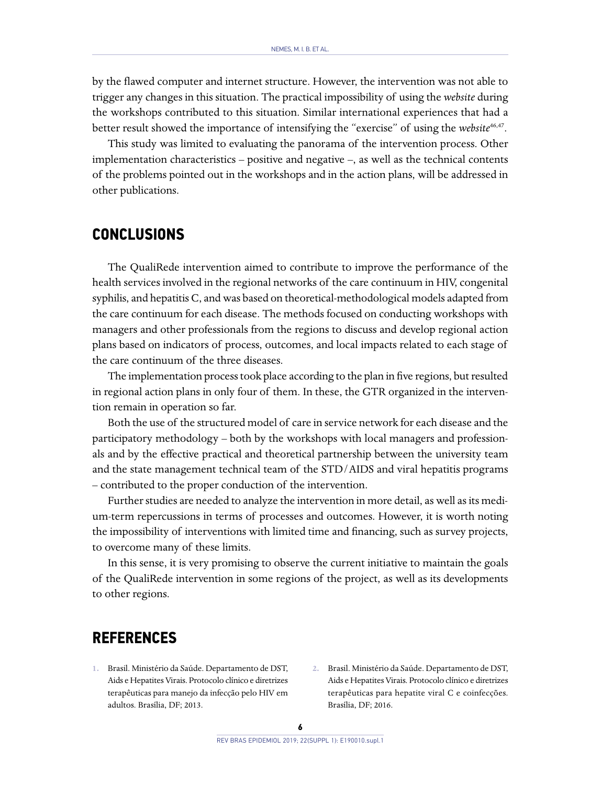by the flawed computer and internet structure. However, the intervention was not able to trigger any changes in this situation. The practical impossibility of using the *website* during the workshops contributed to this situation. Similar international experiences that had a better result showed the importance of intensifying the "exercise" of using the *website*46,47.

This study was limited to evaluating the panorama of the intervention process. Other implementation characteristics – positive and negative –, as well as the technical contents of the problems pointed out in the workshops and in the action plans, will be addressed in other publications.

### **CONCLUSIONS**

The QualiRede intervention aimed to contribute to improve the performance of the health services involved in the regional networks of the care continuum in HIV, congenital syphilis, and hepatitis C, and was based on theoretical-methodological models adapted from the care continuum for each disease. The methods focused on conducting workshops with managers and other professionals from the regions to discuss and develop regional action plans based on indicators of process, outcomes, and local impacts related to each stage of the care continuum of the three diseases.

The implementation process took place according to the plan in five regions, but resulted in regional action plans in only four of them. In these, the GTR organized in the intervention remain in operation so far.

Both the use of the structured model of care in service network for each disease and the participatory methodology – both by the workshops with local managers and professionals and by the effective practical and theoretical partnership between the university team and the state management technical team of the STD/AIDS and viral hepatitis programs – contributed to the proper conduction of the intervention.

Further studies are needed to analyze the intervention in more detail, as well as its medium-term repercussions in terms of processes and outcomes. However, it is worth noting the impossibility of interventions with limited time and financing, such as survey projects, to overcome many of these limits.

In this sense, it is very promising to observe the current initiative to maintain the goals of the QualiRede intervention in some regions of the project, as well as its developments to other regions.

## **REFERENCES**

- **1.** Brasil. Ministério da Saúde. Departamento de DST, Aids e Hepatites Virais. Protocolo clínico e diretrizes terapêuticas para manejo da infecção pelo HIV em adultos. Brasília, DF; 2013.
- **2.** Brasil. Ministério da Saúde. Departamento de DST, Aids e Hepatites Virais. Protocolo clínico e diretrizes terapêuticas para hepatite viral C e coinfecções. Brasília, DF; 2016.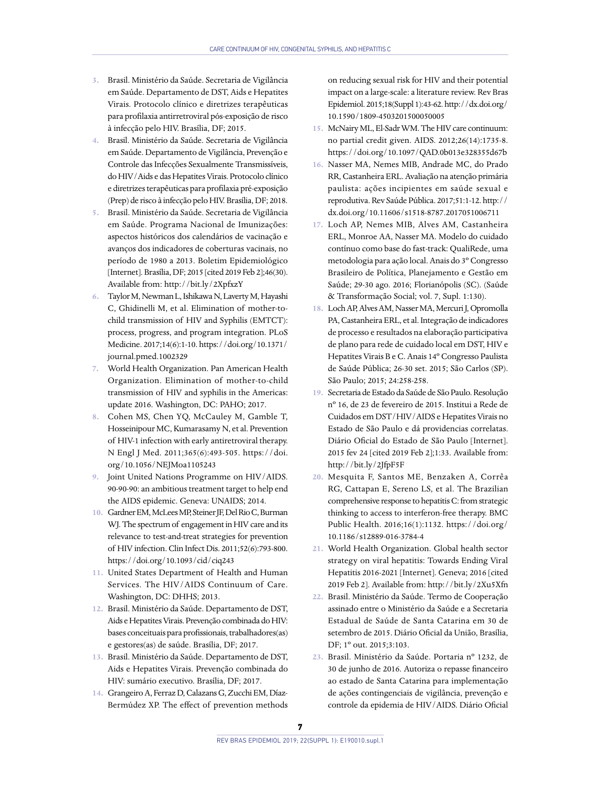- **3.** Brasil. Ministério da Saúde. Secretaria de Vigilância em Saúde. Departamento de DST, Aids e Hepatites Virais. Protocolo clínico e diretrizes terapêuticas para profilaxia antirretroviral pós-exposição de risco à infecção pelo HIV. Brasília, DF; 2015.
- **4.** Brasil. Ministério da Saúde. Secretaria de Vigilância em Saúde. Departamento de Vigilância, Prevenção e Controle das Infecções Sexualmente Transmissíveis, do HIV/Aids e das Hepatites Virais. Protocolo clínico e diretrizes terapêuticas para profilaxia pré-exposição (Prep) de risco à infecção pelo HIV. Brasília, DF; 2018.
- **5.** Brasil. Ministério da Saúde. Secretaria de Vigilância em Saúde. Programa Nacional de Imunizações: aspectos históricos dos calendários de vacinação e avanços dos indicadores de coberturas vacinais, no período de 1980 a 2013. Boletim Epidemiológico [Internet]. Brasília, DF; 2015 [cited 2019 Feb 2];46(30). Available from: http://bit.ly/2XpfxzY
- **6.** Taylor M, Newman L, Ishikawa N, Laverty M, Hayashi C, Ghidinelli M, et al. Elimination of mother-tochild transmission of HIV and Syphilis (EMTCT): process, progress, and program integration. PLoS Medicine. 2017;14(6):1-10. https://doi.org/10.1371/ journal.pmed.1002329
- **7.** World Health Organization. Pan American Health Organization. Elimination of mother-to-child transmission of HIV and syphilis in the Americas: update 2016. Washington, DC: PAHO; 2017.
- **8.** Cohen MS, Chen YQ, McCauley M, Gamble T, Hosseinipour MC, Kumarasamy N, et al. Prevention of HIV-1 infection with early antiretroviral therapy. N Engl J Med. 2011;365(6):493-505. https://doi. org/10.1056/NEJMoa1105243
- **9.** Joint United Nations Programme on HIV/AIDS. 90-90-90: an ambitious treatment target to help end the AIDS epidemic. Geneva: UNAIDS; 2014.
- **10.** Gardner EM, McLees MP, Steiner JF, Del Rio C, Burman WJ. The spectrum of engagement in HIV care and its relevance to test-and-treat strategies for prevention of HIV infection. Clin Infect Dis. 2011;52(6):793-800. https://doi.org/10.1093/cid/ciq243
- **11.** United States Department of Health and Human Services. The HIV/AIDS Continuum of Care. Washington, DC: DHHS; 2013.
- **12.** Brasil. Ministério da Saúde. Departamento de DST, Aids e Hepatites Virais. Prevenção combinada do HIV: bases conceituais para profissionais, trabalhadores(as) e gestores(as) de saúde. Brasília, DF; 2017.
- **13.** Brasil. Ministério da Saúde. Departamento de DST, Aids e Hepatites Virais. Prevenção combinada do HIV: sumário executivo. Brasília, DF; 2017.
- **14.** Grangeiro A, Ferraz D, Calazans G, Zucchi EM, Díaz-Bermúdez XP. The effect of prevention methods

on reducing sexual risk for HIV and their potential impact on a large-scale: a literature review. Rev Bras Epidemiol. 2015;18(Suppl 1):43-62. http://dx.doi.org/ 10.1590/1809-4503201500050005

- **15.** McNairy ML, El-Sadr WM. The HIV care continuum: no partial credit given. AIDS. 2012;26(14):1735-8. https://doi.org/10.1097/QAD.0b013e328355d67b
- **16.** Nasser MA, Nemes MIB, Andrade MC, do Prado RR, Castanheira ERL. Avaliação na atenção primária paulista: ações incipientes em saúde sexual e reprodutiva. Rev Saúde Pública. 2017;51:1-12. http:// dx.doi.org/10.11606/s1518-8787.2017051006711
- **17.** Loch AP, Nemes MIB, Alves AM, Castanheira ERL, Monroe AA, Nasser MA. Modelo do cuidado contínuo como base do fast-track: QualiRede, uma metodologia para ação local. Anais do 3º Congresso Brasileiro de Política, Planejamento e Gestão em Saúde; 29-30 ago. 2016; Florianópolis (SC). (Saúde & Transformação Social; vol. 7, Supl. 1:130).
- **18.** Loch AP, Alves AM, Nasser MA, Mercuri J, Opromolla PA, Castanheira ERL, et al. Integração de indicadores de processo e resultados na elaboração participativa de plano para rede de cuidado local em DST, HIV e Hepatites Virais B e C. Anais 14º Congresso Paulista de Saúde Pública; 26-30 set. 2015; São Carlos (SP). São Paulo; 2015; 24:258-258.
- **19.** Secretaria de Estado da Saúde de São Paulo. Resolução nº 16, de 23 de fevereiro de 2015. Institui a Rede de Cuidados em DST/HIV/AIDS e Hepatites Virais no Estado de São Paulo e dá providencias correlatas. Diário Oficial do Estado de São Paulo [Internet]. 2015 fev 24 [cited 2019 Feb 2];1:33. Available from: http://bit.ly/2JfpF5F
- **20.** Mesquita F, Santos ME, Benzaken A, Corrêa RG, Cattapan E, Sereno LS, et al. The Brazilian comprehensive response to hepatitis C: from strategic thinking to access to interferon-free therapy. BMC Public Health. 2016;16(1):1132. https://doi.org/ 10.1186/s12889-016-3784-4
- **21.** World Health Organization. Global health sector strategy on viral hepatitis: Towards Ending Viral Hepatitis 2016-2021 [Internet]. Geneva; 2016 [cited 2019 Feb 2]. Available from: http://bit.ly/2Xu5Xfn
- **22.** Brasil. Ministério da Saúde. Termo de Cooperação assinado entre o Ministério da Saúde e a Secretaria Estadual de Saúde de Santa Catarina em 30 de setembro de 2015. Diário Oficial da União, Brasília, DF; 1º out. 2015;3:103.
- **23.** Brasil. Ministério da Saúde. Portaria nº 1232, de 30 de junho de 2016. Autoriza o repasse financeiro ao estado de Santa Catarina para implementação de ações contingenciais de vigilância, prevenção e controle da epidemia de HIV/AIDS. Diário Oficial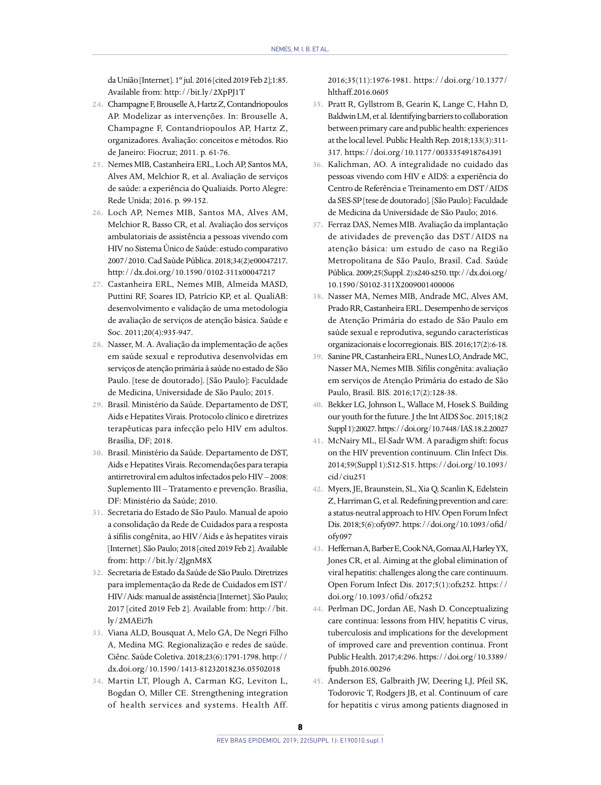da União [Internet]. 1º jul. 2016 [cited 2019 Feb 2];1:85. Available from: http://bit.ly/2XpPJ1T

- **24.** Champagne F, Brouselle A, Hartz Z, Contandriopoulos AP. Modelizar as intervenções. In: Brouselle A, Champagne F, Contandriopoulos AP, Hartz Z, organizadores. Avaliação: conceitos e métodos. Rio de Janeiro: Fiocruz; 2011. p. 61-76.
- **25.** Nemes MIB, Castanheira ERL, Loch AP, Santos MA, Alves AM, Melchior R, et al. Avaliação de serviços de saúde: a experiência do Qualiaids. Porto Alegre: Rede Unida; 2016. p. 99-152.
- **26.** Loch AP, Nemes MIB, Santos MA, Alves AM, Melchior R, Basso CR, et al. Avaliação dos serviços ambulatoriais de assistência a pessoas vivendo com HIV no Sistema Único de Saúde: estudo comparativo 2007/2010. Cad Saúde Pública. 2018;34(2)e00047217. http://dx.doi.org/10.1590/0102-311x00047217
- **27.** Castanheira ERL, Nemes MIB, Almeida MASD, Puttini RF, Soares ID, Patrício KP, et al. QualiAB: desenvolvimento e validação de uma metodologia de avaliação de serviços de atenção básica. Saúde e Soc. 2011;20(4):935-947.
- **28.** Nasser, M. A. Avaliação da implementação de ações em saúde sexual e reprodutiva desenvolvidas em serviços de atenção primária à saúde no estado de São Paulo. [tese de doutorado]. [São Paulo]: Faculdade de Medicina, Universidade de São Paulo; 2015.
- **29.** Brasil. Ministério da Saúde. Departamento de DST, Aids e Hepatites Virais. Protocolo clínico e diretrizes terapêuticas para infecção pelo HIV em adultos. Brasília, DF; 2018.
- **30.** Brasil. Ministério da Saúde. Departamento de DST, Aids e Hepatites Virais. Recomendações para terapia antirretroviral em adultos infectados pelo HIV – 2008: Suplemento III – Tratamento e prevenção. Brasília, DF: Ministério da Saúde; 2010.
- **31.** Secretaria do Estado de São Paulo. Manual de apoio a consolidação da Rede de Cuidados para a resposta à sífilis congênita, ao HIV/Aids e às hepatites virais [Internet]. São Paulo; 2018 [cited 2019 Feb 2]. Available from: http://bit.ly/2JgnM8X
- **32.** Secretaria de Estado da Saúde de São Paulo. Diretrizes para implementação da Rede de Cuidados em IST/ HIV/Aids: manual de assistência [Internet]. São Paulo; 2017 [cited 2019 Feb 2]. Available from: http://bit. ly/2MAEi7h
- **33.** Viana ALD, Bousquat A, Melo GA, De Negri Filho A, Medina MG. Regionalização e redes de saúde. Ciênc. Saúde Coletiva. 2018;23(6):1791-1798. http:// dx.doi.org/10.1590/1413-81232018236.05502018
- **34.** Martin LT, Plough A, Carman KG, Leviton L, Bogdan O, Miller CE. Strengthening integration of health services and systems. Health Aff.

2016;35(11):1976-1981. https://doi.org/10.1377/ hlthaff.2016.0605

- **35.** Pratt R, Gyllstrom B, Gearin K, Lange C, Hahn D, Baldwin LM, et al. Identifying barriers to collaboration between primary care and public health: experiences at the local level. Public Health Rep. 2018;133(3):311- 317. https://doi.org/10.1177/0033354918764391
- **36.** Kalichman, AO. A integralidade no cuidado das pessoas vivendo com HIV e AIDS: a experiência do Centro de Referência e Treinamento em DST/AIDS da SES-SP [tese de doutorado]. [São Paulo]: Faculdade de Medicina da Universidade de São Paulo; 2016.
- **37.** Ferraz DAS, Nemes MIB. Avaliação da implantação de atividades de prevenção das DST/AIDS na atenção básica: um estudo de caso na Região Metropolitana de São Paulo, Brasil. Cad. Saúde Pública. 2009;25(Suppl. 2):s240-s250. ttp://dx.doi.org/ 10.1590/S0102-311X2009001400006
- **38.** Nasser MA, Nemes MIB, Andrade MC, Alves AM, Prado RR, Castanheira ERL. Desempenho de serviços de Atenção Primária do estado de São Paulo em saúde sexual e reprodutiva, segundo características organizacionais e locorregionais. BIS. 2016;17(2):6-18.
- **39.** Sanine PR, Castanheira ERL, Nunes LO, Andrade MC, Nasser MA, Nemes MIB. Sífilis congênita: avaliação em serviços de Atenção Primária do estado de São Paulo, Brasil. BIS. 2016;17(2):128-38.
- **40.** Bekker LG, Johnson L, Wallace M, Hosek S. Building our youth for the future. J the Int AIDS Soc. 2015;18(2 Suppl 1):20027. https://doi.org/10.7448/IAS.18.2.20027
- **41.** McNairy ML, El-Sadr WM. A paradigm shift: focus on the HIV prevention continuum. Clin Infect Dis. 2014;59(Suppl 1):S12-S15. https://doi.org/10.1093/ cid/ciu251
- **42.** Myers, JE, Braunstein, SL, Xia Q, Scanlin K, Edelstein Z, Harriman G, et al. Redefining prevention and care: a status-neutral approach to HIV. Open Forum Infect Dis. 2018;5(6):ofy097. https://doi.org/10.1093/ofid/ ofy097
- **43.** Heffernan A, Barber E, Cook NA, Gomaa AI, Harley YX, Jones CR, et al. Aiming at the global elimination of viral hepatitis: challenges along the care continuum. Open Forum Infect Dis. 2017;5(1):ofx252. https:// doi.org/10.1093/ofid/ofx252
- **44.** Perlman DC, Jordan AE, Nash D. Conceptualizing care continua: lessons from HIV, hepatitis C virus, tuberculosis and implications for the development of improved care and prevention continua. Front Public Health. 2017;4:296. https://doi.org/10.3389/ fpubh.2016.00296
- **45.** Anderson ES, Galbraith JW, Deering LJ, Pfeil SK, Todorovic T, Rodgers JB, et al. Continuum of care for hepatitis c virus among patients diagnosed in